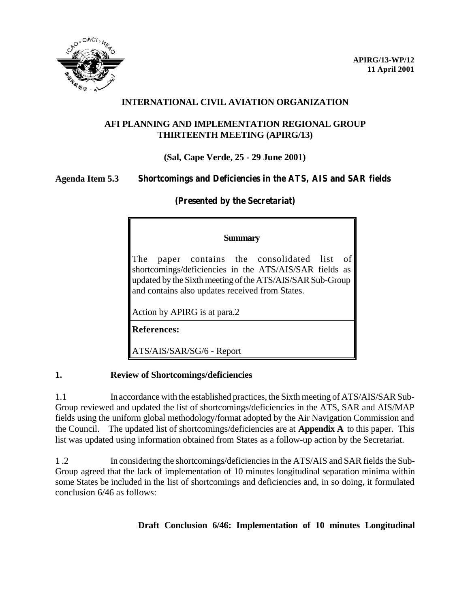

# **INTERNATIONAL CIVIL AVIATION ORGANIZATION**

## **AFI PLANNING AND IMPLEMENTATION REGIONAL GROUP THIRTEENTH MEETING (APIRG/13)**

# **(Sal, Cape Verde, 25 - 29 June 2001)**

## **Agenda Item 5.3 Shortcomings and Deficiencies in the ATS, AIS and SAR fields**

# **(Presented by the Secretariat)**

#### **Summary**

The paper contains the consolidated list of shortcomings/deficiencies in the ATS/AIS/SAR fields as updated by the Sixth meeting of the ATS/AIS/SAR Sub-Group and contains also updates received from States.

Action by APIRG is at para.2

**References:**

ATS/AIS/SAR/SG/6 - Report

## **1. Review of Shortcomings/deficiencies**

1.1 In accordance with the established practices, the Sixth meeting of ATS/AIS/SAR Sub-Group reviewed and updated the list of shortcomings/deficiencies in the ATS, SAR and AIS/MAP fields using the uniform global methodology/format adopted by the Air Navigation Commission and the Council. The updated list of shortcomings/deficiencies are at **Appendix A** to this paper. This list was updated using information obtained from States as a follow-up action by the Secretariat.

1 .2 In considering the shortcomings/deficiencies in the ATS/AIS and SAR fields the Sub-Group agreed that the lack of implementation of 10 minutes longitudinal separation minima within some States be included in the list of shortcomings and deficiencies and, in so doing, it formulated conclusion 6/46 as follows:

# **Draft Conclusion 6/46: Implementation of 10 minutes Longitudinal**